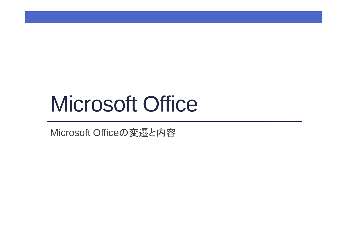# Microsoft Office

Microsoft Officeの変遷と内容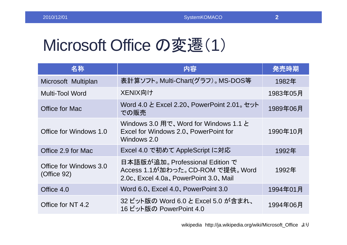#### **2**

## Microsoft Office の変遷(1)

| 名称                                    | 内容                                                                                                            | 発売時期     |
|---------------------------------------|---------------------------------------------------------------------------------------------------------------|----------|
| Microsoft Multiplan                   | 表計算ソフト。Multi-Chart(グラフ)。MS-DOS等                                                                               | 1982年    |
| <b>Multi-Tool Word</b>                | XENIX向け                                                                                                       | 1983年05月 |
| Office for Mac                        | Word 4.0 と Excel 2.20、 PowerPoint 2.01。 セット<br>での販売                                                           | 1989年06月 |
| Office for Windows 1.0                | Windows 3.0 用で、Word for Windows 1.1 と<br>Excel for Windows 2.0, PowerPoint for<br>Windows 2.0                 | 1990年10月 |
| Office 2.9 for Mac                    | Excel 4.0 で初めて AppleScript に対応                                                                                | 1992年    |
| Office for Windows 3.0<br>(Office 92) | 日本語版が追加。 Professional Edition で<br>Access 1.1が加わった。CD-ROM で提供。 Word<br>2.0c, Excel 4.0a, PowerPoint 3.0, Mail | 1992年    |
| Office 4.0                            | Word 6.0, Excel 4.0, PowerPoint 3.0                                                                           | 1994年01月 |
| Office for NT 4.2                     | 32 ビット版の Word 6.0 と Excel 5.0 が含まれ、<br>16 ビット版の PowerPoint 4.0                                                | 1994年06月 |

wikipedia http://ja.wikipedia.org/wiki/Microsoft\_Office より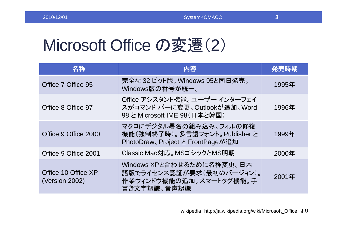### Microsoft Office の変遷(2)

| 名称                                    | 内容                                                                                              | 発売時期  |
|---------------------------------------|-------------------------------------------------------------------------------------------------|-------|
| Office 7 Office 95                    | 完全な 32 ビット版。 Windows 95と同日発売。<br>Windows版の番号が統一。                                                | 1995年 |
| Office 8 Office 97                    | Office アシスタント機能。 ユーザー インターフェイ<br>スがコマンド バーに変更。Outlookが追加。Word<br>98 と Microsoft IME 98 (日本と韓国)  | 1996年 |
| Office 9 Office 2000                  | マクロにデジタル署名の組み込み。フィルの修復<br>機能(強制終了時)。多言語フォント。Publisher と<br>PhotoDraw、Project と FrontPageが追加     | 1999年 |
| Office 9 Office 2001                  | Classic Mac対応。MSゴシックとMS明朝                                                                       | 2000年 |
| Office 10 Office XP<br>(Version 2002) | Windows XPと合わせるために名称変更。日本<br>語版でライセンス認証が要求(最初のバージョン)。<br>作業ウィンドウ機能の追加。スマートタグ機能。手<br>書き文字認識。音声認識 | 2001年 |

wikipedia http://ja.wikipedia.org/wiki/Microsoft\_Office より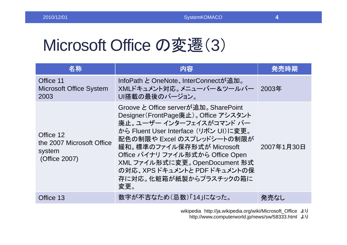### Microsoft Office の変遷(3)

| 名称                                                                | 内容                                                                                                                                                                                                                                                                                                                                                  | 発売時期       |
|-------------------------------------------------------------------|-----------------------------------------------------------------------------------------------------------------------------------------------------------------------------------------------------------------------------------------------------------------------------------------------------------------------------------------------------|------------|
| Office 11<br><b>Microsoft Office System</b><br>2003               | InfoPath と OneNote、InterConnectが追加。<br>XMLドキュメント対応。メニューバー&ツールバー<br>UI搭載の最後のバージョン。                                                                                                                                                                                                                                                                   | 2003年      |
| Office 12<br>the 2007 Microsoft Office<br>system<br>(Office 2007) | Groove と Office serverが追加。 Share Point<br>Designer (FrontPage廃止)。 Office アシスタント<br>廃止。ユーザー インターフェイスがコマンド バー<br>から Fluent User Interface (リボン UI)に変更。<br>配色の制限や Excel のスプレッドシートの制限が<br>緩和。標準のファイル保存形式が Microsoft<br>Office バイナリ ファイル形式から Office Open<br>XML ファイル形式に変更。OpenDocument 形式<br>の対応、XPSドキュメントと PDFドキュメントの保<br>存に対応。化粧箱が紙製からプラスチックの箱に<br>変更。 | 2007年1月30日 |
| Office 13                                                         | 数字が不吉なため(忌数)「14」になった。                                                                                                                                                                                                                                                                                                                               | 発売なし       |

wikipedia http://ja.wikipedia.org/wiki/Microsoft\_Office より

http://www.computerworld.jp/news/sw/58333.html より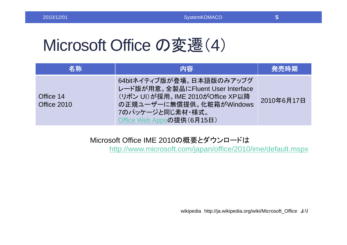### Microsoft Office の変遷(4)

| 名称                       | 内容                                                                                                                                                                              | 発売時期       |
|--------------------------|---------------------------------------------------------------------------------------------------------------------------------------------------------------------------------|------------|
| Office 14<br>Office 2010 | 64bitネイティブ版が登場。日本語版のみアップグ<br>レード版が用意。全製品にFluent User Interface<br>(リボン UI)が採用。IME 2010がOffice XP以降<br>の正規ユーザーに無償提供。化粧箱がWindows<br>7のパッケージと同じ素材・様式。<br>Office Web Appsの提供(6月15日) | 2010年6月17日 |

#### Microsoft Office IME 2010の概要とダウンロードは

http://www.microsoft.com/japan/office/2010/ime/default.mspx

wikipedia http://ja.wikipedia.org/wiki/Microsoft\_Office より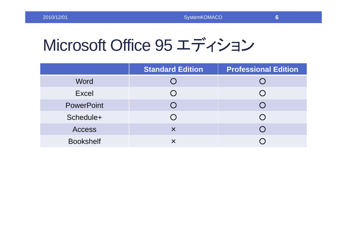#### **6**

## Microsoft Office 95 エディション

|                   | <b>Standard Edition</b> | <b>Professional Edition</b> |
|-------------------|-------------------------|-----------------------------|
| Word              |                         |                             |
| <b>Excel</b>      |                         |                             |
| <b>PowerPoint</b> |                         |                             |
| Schedule+         |                         |                             |
| <b>Access</b>     | $\times$                |                             |
| <b>Bookshelf</b>  |                         |                             |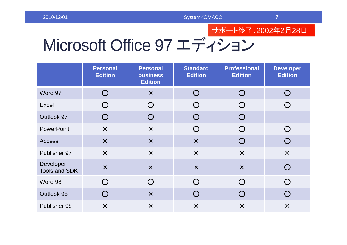### サポート終了:2002 年 2 月28 日

# Microsoft Office 97 エディション

|                            | <b>Personal</b><br><b>Edition</b> | <b>Personal</b><br><b>business</b><br><b>Edition</b> | <b>Standard</b><br><b>Edition</b> | <b>Professional</b><br><b>Edition</b> | <b>Developer</b><br><b>Edition</b> |
|----------------------------|-----------------------------------|------------------------------------------------------|-----------------------------------|---------------------------------------|------------------------------------|
| Word 97                    | O                                 | $\times$                                             | $\bigcirc$                        | O                                     | $\bigcirc$                         |
| Excel                      | $\bigcirc$                        | $\bigcirc$                                           | $\bigcirc$                        | $\bigcirc$                            |                                    |
| Outlook 97                 | $\bigcirc$                        | $\bigcirc$                                           | $\bigcirc$                        | $\bigcirc$                            |                                    |
| <b>PowerPoint</b>          | $\times$                          | $\times$                                             | $\bigcirc$                        | $\bigcirc$                            | $\bigcap$                          |
| <b>Access</b>              | $\times$                          | $\times$                                             | $\times$                          | O                                     | $\bigcap$                          |
| Publisher 97               | $\times$                          | $\times$                                             | $\times$                          | $\times$                              | $\times$                           |
| Developer<br>Tools and SDK | $\boldsymbol{\mathsf{X}}$         | $\times$                                             | $\times$                          | $\times$                              |                                    |
| Word 98                    | O                                 | $\bigcirc$                                           | $\bigcap$                         | $\bigcirc$                            | $\bigcap$                          |
| Outlook 98                 | O                                 | $\times$                                             | $\left( \ \right)$                | $\bigcap$                             | $\bigcap$                          |
| Publisher 98               | $\times$                          | $\times$                                             | $\times$                          | $\times$                              | $\times$                           |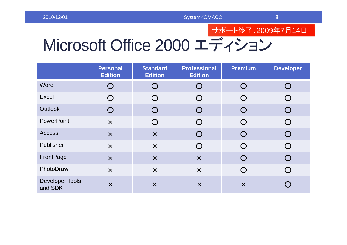### サポート終了:2009 年 7 月14 日

## Microsoft Office 2000 エディション

|                                   | <b>Personal</b><br><b>Edition</b>             | <b>Standard</b><br><b>Edition</b>           | <b>Professional</b><br><b>Edition</b> | <b>Premium</b>                                  | <b>Developer</b>   |
|-----------------------------------|-----------------------------------------------|---------------------------------------------|---------------------------------------|-------------------------------------------------|--------------------|
| Word                              | $\bigcirc$                                    | ( )                                         | ( )                                   | $\left( \begin{array}{c} 1 \end{array} \right)$ | $\left( \ \right)$ |
| Excel                             | $\left(\begin{array}{c} 1 \end{array}\right)$ | $\left(\begin{array}{c} \end{array}\right)$ | ( )                                   |                                                 |                    |
| <b>Outlook</b>                    | $\bigcirc$                                    | $\overline{()}$                             | $\left( \ \right)$                    | $\overline{()}$                                 | $\bigcirc$         |
| <b>PowerPoint</b>                 | $\times$                                      | ( )                                         |                                       |                                                 |                    |
| <b>Access</b>                     | $\times$                                      | $\times$                                    |                                       | ( )                                             |                    |
| Publisher                         | $\times$                                      | $\times$                                    |                                       |                                                 |                    |
| <b>FrontPage</b>                  | $\times$                                      | $\times$                                    | $\times$                              | ( )                                             |                    |
| PhotoDraw                         | $\times$                                      | $\times$                                    | $\times$                              |                                                 |                    |
| <b>Developer Tools</b><br>and SDK | $\times$                                      | $\times$                                    | $\times$                              | $\times$                                        |                    |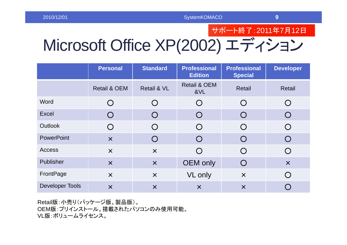サポート終了:2011 年 7 月12 日

## Microsoft Office XP(2002) エディション

|                        | <b>Personal</b>           | <b>Standard</b>                               | <b>Professional</b><br><b>Edition</b> | <b>Professional</b><br><b>Special</b>         | <b>Developer</b>   |
|------------------------|---------------------------|-----------------------------------------------|---------------------------------------|-----------------------------------------------|--------------------|
|                        | <b>Retail &amp; OEM</b>   | <b>Retail &amp; VL</b>                        | <b>Retail &amp; OEM</b><br>&VL        | Retail                                        | Retail             |
| Word                   | $\bigcirc$                | $\bigcirc$                                    | $\left( \right)$                      | $\left( \right)$                              | $\left( \right)$   |
| <b>Excel</b>           | $\bigcirc$                | ( )                                           | $\left( \ \right)$                    | ( )                                           | $\overline{()}$    |
| <b>Outlook</b>         | $\bigcirc$                | $\bigcirc$                                    | $\left( \right)$                      | ( )                                           | $\bigcap$          |
| <b>PowerPoint</b>      | $\times$                  | $\left(\begin{array}{c} 1 \end{array}\right)$ |                                       |                                               |                    |
| <b>Access</b>          | $\boldsymbol{\mathsf{X}}$ | $\times$                                      | ( )                                   | $(\ )$                                        | $\left( \right)$   |
| Publisher              | $\overline{\mathsf{x}}$   | $\times$                                      | <b>OEM</b> only                       | $\left(\begin{array}{c} 1 \end{array}\right)$ | $\times$           |
| FrontPage              | $\overline{\mathsf{X}}$   | $\times$                                      | VL only                               | $\times$                                      | $\left( \ \right)$ |
| <b>Developer Tools</b> | $\times$                  | $\times$                                      | $\times$                              | $\times$                                      |                    |

Retail版:小売り(パッケージ版、製品版)。 OEM版:プリインストール。搭載されたパソコンのみ使用可能。 VL版:ボリュームライセンス。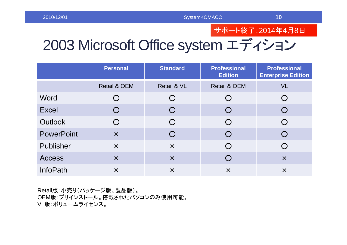#### サポート終了:2014 年 4 月 8 日

## 2003 Microsoft Office system エディション

|                   | <b>Personal</b>           | <b>Standard</b>        | <b>Professional</b><br><b>Edition</b> | <b>Professional</b><br><b>Enterprise Edition</b> |
|-------------------|---------------------------|------------------------|---------------------------------------|--------------------------------------------------|
|                   | <b>Retail &amp; OEM</b>   | <b>Retail &amp; VL</b> | <b>Retail &amp; OEM</b>               | <b>VL</b>                                        |
| Word              |                           | $\bigcap$              |                                       |                                                  |
| <b>Excel</b>      |                           | $\bigcap$              |                                       |                                                  |
| <b>Outlook</b>    |                           | $\bigcirc$             |                                       |                                                  |
| <b>PowerPoint</b> | $\overline{\mathsf{x}}$   | $\bigcirc$             |                                       |                                                  |
| Publisher         | $\boldsymbol{\mathsf{X}}$ | $\times$               |                                       |                                                  |
| <b>Access</b>     | $\times$                  | $\times$               |                                       | $\times$                                         |
| <b>InfoPath</b>   | $\times$                  | $\times$               | $\times$                              | $\times$                                         |

Retail版:小売り(パッケージ版、製品版)。 OEM版:プリインストール。搭載されたパソコンのみ使用可能。 VL版:ボリュームライセンス。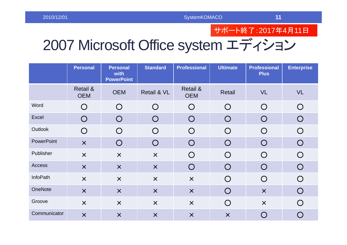#### サポート終了:2017 年 4 月11 日

## 2007 Microsoft Office system エディション

|                   | <b>Personal</b>                   | <b>Personal</b><br>with<br><b>PowerPoint</b> | <b>Standard</b>         | <b>Professional</b>               | <b>Ultimate</b>         | <b>Professional</b><br><b>Plus</b> | <b>Enterprise</b> |
|-------------------|-----------------------------------|----------------------------------------------|-------------------------|-----------------------------------|-------------------------|------------------------------------|-------------------|
|                   | <b>Retail &amp;</b><br><b>OEM</b> | <b>OEM</b>                                   | Retail & VL             | <b>Retail &amp;</b><br><b>OEM</b> | <b>Retail</b>           | <b>VL</b>                          | <b>VL</b>         |
| Word              | $\bigcirc$                        | $\bigcirc$                                   | $\bigcirc$              | $\bigcirc$                        | $\bigcirc$              | $\bigcirc$                         | $\bigcirc$        |
| Excel             | $\bigcirc$                        | $\bigcirc$                                   | $\bigcirc$              | $\bigcirc$                        | $\bigcap$               | $\bigcirc$                         | $\bigcirc$        |
| Outlook           | $\bigcirc$                        | $\bigcap$                                    | $\bigcirc$              | $\bigcirc$                        | $\bigcap$               | $\bigcirc$                         | $\bigcirc$        |
| <b>PowerPoint</b> | $\times$                          | $\bigcirc$                                   | $\bigcirc$              | $\bigcirc$                        | $\overline{()}$         | $\bigcirc$                         | $\bigcirc$        |
| Publisher         | $\times$                          | $\times$                                     | $\times$                | $\bigcirc$                        | $\bigcirc$              | $\bigcirc$                         | $\bigcirc$        |
| Access            | $\times$                          | $\times$                                     | $\times$                | $\bigcirc$                        | $\bigcap$               | $\bigcirc$                         | $\bigcirc$        |
| <b>InfoPath</b>   | $\times$                          | $\boldsymbol{\mathsf{X}}$                    | $\times$                | $\times$                          | $\bigcirc$              | $\bigcirc$                         | $\bigcirc$        |
| OneNote           | $\boldsymbol{\mathsf{X}}$         | $\boldsymbol{\mathsf{X}}$                    | $\times$                | $\times$                          | $\bigcirc$              | $\times$                           | $\bigcirc$        |
| Groove            | $\times$                          | $\times$                                     | $\times$                | $\times$                          | $\bigcirc$              | $\boldsymbol{\mathsf{X}}$          | $\bigcirc$        |
| Communicator      | $\overline{\mathsf{x}}$           | $\overline{\mathsf{x}}$                      | $\overline{\mathsf{x}}$ | $\times$                          | $\overline{\mathsf{x}}$ | $\bigcirc$                         | $\bigcirc$        |